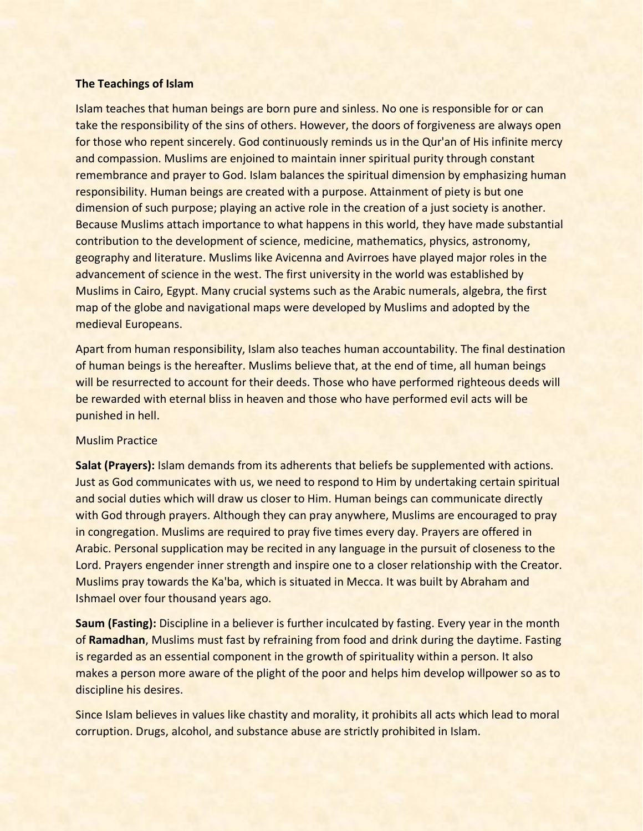# **The Teachings of Islam**

Islam teaches that human beings are born pure and sinless. No one is responsible for or can take the responsibility of the sins of others. However, the doors of forgiveness are always open for those who repent sincerely. God continuously reminds us in the Qur'an of His infinite mercy and compassion. Muslims are enjoined to maintain inner spiritual purity through constant remembrance and prayer to God. Islam balances the spiritual dimension by emphasizing human responsibility. Human beings are created with a purpose. Attainment of piety is but one dimension of such purpose; playing an active role in the creation of a just society is another. Because Muslims attach importance to what happens in this world, they have made substantial contribution to the development of science, medicine, mathematics, physics, astronomy, geography and literature. Muslims like Avicenna and Avirroes have played major roles in the advancement of science in the west. The first university in the world was established by Muslims in Cairo, Egypt. Many crucial systems such as the Arabic numerals, algebra, the first map of the globe and navigational maps were developed by Muslims and adopted by the medieval Europeans.

Apart from human responsibility, Islam also teaches human accountability. The final destination of human beings is the hereafter. Muslims believe that, at the end of time, all human beings will be resurrected to account for their deeds. Those who have performed righteous deeds will be rewarded with eternal bliss in heaven and those who have performed evil acts will be punished in hell.

### Muslim Practice

**Salat (Prayers):** Islam demands from its adherents that beliefs be supplemented with actions. Just as God communicates with us, we need to respond to Him by undertaking certain spiritual and social duties which will draw us closer to Him. Human beings can communicate directly with God through prayers. Although they can pray anywhere, Muslims are encouraged to pray in congregation. Muslims are required to pray five times every day. Prayers are offered in Arabic. Personal supplication may be recited in any language in the pursuit of closeness to the Lord. Prayers engender inner strength and inspire one to a closer relationship with the Creator. Muslims pray towards the Ka'ba, which is situated in Mecca. It was built by Abraham and Ishmael over four thousand years ago.

**Saum (Fasting):** Discipline in a believer is further inculcated by fasting. Every year in the month of **Ramadhan**, Muslims must fast by refraining from food and drink during the daytime. Fasting is regarded as an essential component in the growth of spirituality within a person. It also makes a person more aware of the plight of the poor and helps him develop willpower so as to discipline his desires.

Since Islam believes in values like chastity and morality, it prohibits all acts which lead to moral corruption. Drugs, alcohol, and substance abuse are strictly prohibited in Islam.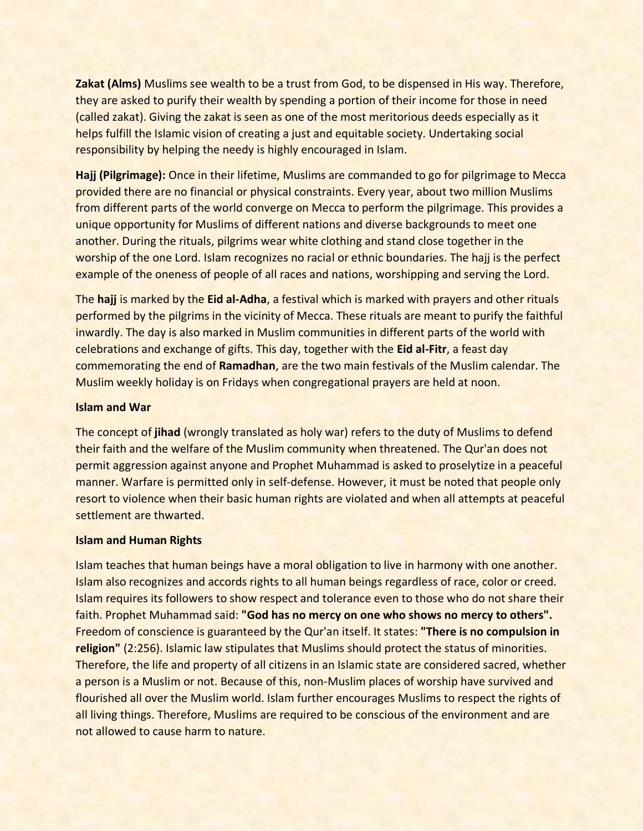**Zakat (Alms)** Muslims see wealth to be a trust from God, to be dispensed in His way. Therefore, they are asked to purify their wealth by spending a portion of their income for those in need (called zakat). Giving the zakat is seen as one of the most meritorious deeds especially as it helps fulfill the Islamic vision of creating a just and equitable society. Undertaking social responsibility by helping the needy is highly encouraged in Islam.

**Hajj (Pilgrimage):** Once in their lifetime, Muslims are commanded to go for pilgrimage to Mecca provided there are no financial or physical constraints. Every year, about two million Muslims from different parts of the world converge on Mecca to perform the pilgrimage. This provides a unique opportunity for Muslims of different nations and diverse backgrounds to meet one another. During the rituals, pilgrims wear white clothing and stand close together in the worship of the one Lord. Islam recognizes no racial or ethnic boundaries. The hajj is the perfect example of the oneness of people of all races and nations, worshipping and serving the Lord.

The **hajj** is marked by the **Eid al-Adha**, a festival which is marked with prayers and other rituals performed by the pilgrims in the vicinity of Mecca. These rituals are meant to purify the faithful inwardly. The day is also marked in Muslim communities in different parts of the world with celebrations and exchange of gifts. This day, together with the **Eid al-Fitr**, a feast day commemorating the end of **Ramadhan**, are the two main festivals of the Muslim calendar. The Muslim weekly holiday is on Fridays when congregational prayers are held at noon.

# **Islam and War**

The concept of **jihad** (wrongly translated as holy war) refers to the duty of Muslims to defend their faith and the welfare of the Muslim community when threatened. The Qur'an does not permit aggression against anyone and Prophet Muhammad is asked to proselytize in a peaceful manner. Warfare is permitted only in self-defense. However, it must be noted that people only resort to violence when their basic human rights are violated and when all attempts at peaceful settlement are thwarted.

### **Islam and Human Rights**

Islam teaches that human beings have a moral obligation to live in harmony with one another. Islam also recognizes and accords rights to all human beings regardless of race, color or creed. Islam requires its followers to show respect and tolerance even to those who do not share their faith. Prophet Muhammad said: **"God has no mercy on one who shows no mercy to others".** Freedom of conscience is guaranteed by the Qur'an itself. It states: **"There is no compulsion in religion"** (2:256). Islamic law stipulates that Muslims should protect the status of minorities. Therefore, the life and property of all citizens in an Islamic state are considered sacred, whether a person is a Muslim or not. Because of this, non-Muslim places of worship have survived and flourished all over the Muslim world. Islam further encourages Muslims to respect the rights of all living things. Therefore, Muslims are required to be conscious of the environment and are not allowed to cause harm to nature.